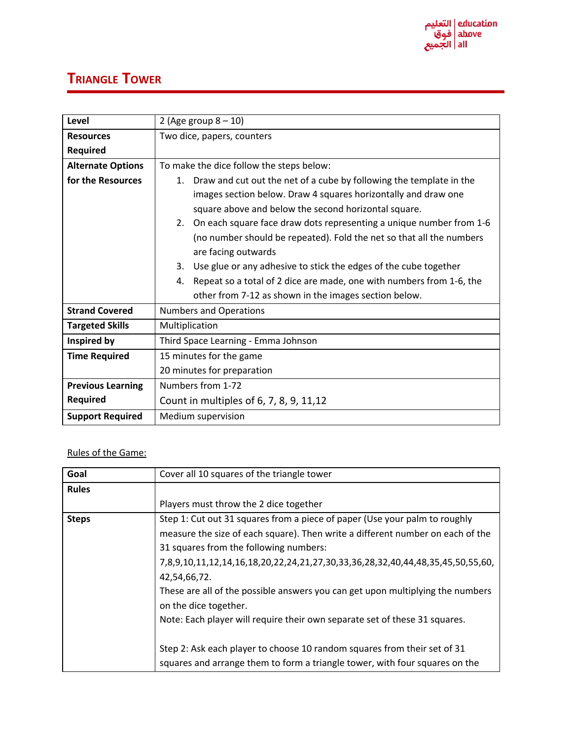

## **TRIANGLE TOWER**

| Level                    | 2 (Age group $8 - 10$ )                                                    |
|--------------------------|----------------------------------------------------------------------------|
| <b>Resources</b>         | Two dice, papers, counters                                                 |
| <b>Required</b>          |                                                                            |
| <b>Alternate Options</b> | To make the dice follow the steps below:                                   |
| for the Resources        | 1. Draw and cut out the net of a cube by following the template in the     |
|                          | images section below. Draw 4 squares horizontally and draw one             |
|                          | square above and below the second horizontal square.                       |
|                          | On each square face draw dots representing a unique number from 1-6<br>2.  |
|                          | (no number should be repeated). Fold the net so that all the numbers       |
|                          | are facing outwards                                                        |
|                          | Use glue or any adhesive to stick the edges of the cube together<br>3.     |
|                          | Repeat so a total of 2 dice are made, one with numbers from 1-6, the<br>4. |
|                          | other from 7-12 as shown in the images section below.                      |
| <b>Strand Covered</b>    | <b>Numbers and Operations</b>                                              |
| <b>Targeted Skills</b>   | Multiplication                                                             |
| Inspired by              | Third Space Learning - Emma Johnson                                        |
| <b>Time Required</b>     | 15 minutes for the game                                                    |
|                          | 20 minutes for preparation                                                 |
| <b>Previous Learning</b> | Numbers from 1-72                                                          |
| <b>Required</b>          | Count in multiples of 6, 7, 8, 9, 11, 12                                   |
| <b>Support Required</b>  | Medium supervision                                                         |

## Rules of the Game:

| Goal         | Cover all 10 squares of the triangle tower                                     |
|--------------|--------------------------------------------------------------------------------|
| <b>Rules</b> |                                                                                |
|              | Players must throw the 2 dice together                                         |
| <b>Steps</b> | Step 1: Cut out 31 squares from a piece of paper (Use your palm to roughly     |
|              | measure the size of each square). Then write a different number on each of the |
|              | 31 squares from the following numbers:                                         |
|              | 7,8,9,10,11,12,14,16,18,20,22,24,21,27,30,33,36,28,32,40,44,48,35,45,50,55,60, |
|              | 42,54,66,72.                                                                   |
|              | These are all of the possible answers you can get upon multiplying the numbers |
|              | on the dice together.                                                          |
|              | Note: Each player will require their own separate set of these 31 squares.     |
|              |                                                                                |
|              | Step 2: Ask each player to choose 10 random squares from their set of 31       |
|              | squares and arrange them to form a triangle tower, with four squares on the    |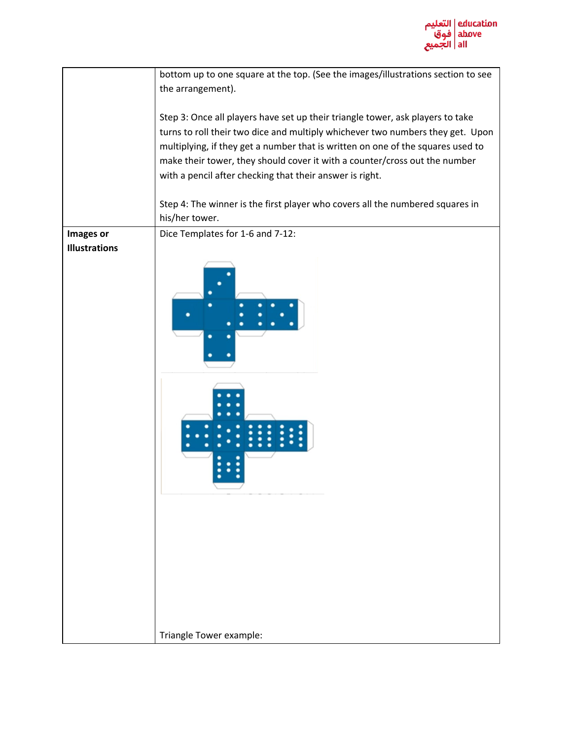

|                      | bottom up to one square at the top. (See the images/illustrations section to see |
|----------------------|----------------------------------------------------------------------------------|
|                      | the arrangement).                                                                |
|                      |                                                                                  |
|                      | Step 3: Once all players have set up their triangle tower, ask players to take   |
|                      | turns to roll their two dice and multiply whichever two numbers they get. Upon   |
|                      | multiplying, if they get a number that is written on one of the squares used to  |
|                      | make their tower, they should cover it with a counter/cross out the number       |
|                      | with a pencil after checking that their answer is right.                         |
|                      |                                                                                  |
|                      | Step 4: The winner is the first player who covers all the numbered squares in    |
|                      | his/her tower.                                                                   |
| Images or            | Dice Templates for 1-6 and 7-12:                                                 |
| <b>Illustrations</b> |                                                                                  |
|                      |                                                                                  |
|                      |                                                                                  |
|                      |                                                                                  |
|                      |                                                                                  |
|                      |                                                                                  |
|                      |                                                                                  |
|                      |                                                                                  |
|                      |                                                                                  |
|                      |                                                                                  |
|                      |                                                                                  |
|                      |                                                                                  |
|                      |                                                                                  |
|                      |                                                                                  |
|                      |                                                                                  |
|                      |                                                                                  |
|                      |                                                                                  |
|                      |                                                                                  |
|                      |                                                                                  |
|                      |                                                                                  |
|                      |                                                                                  |
|                      |                                                                                  |
|                      |                                                                                  |
|                      |                                                                                  |
|                      |                                                                                  |
|                      |                                                                                  |
|                      | Triangle Tower example:                                                          |
|                      |                                                                                  |